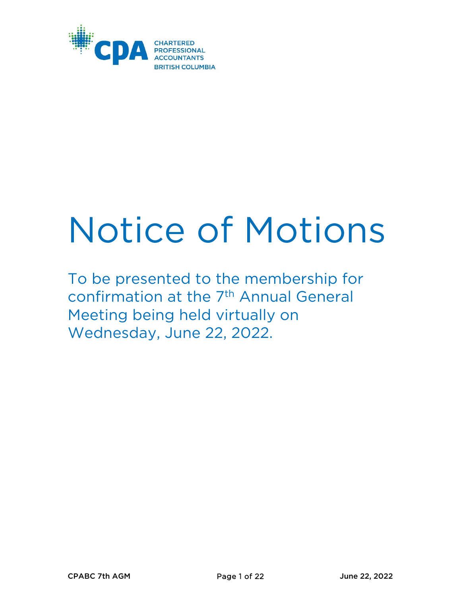

# Notice of Motions

To be presented to the membership for confirmation at the 7th Annual General Meeting being held virtually on Wednesday, June 22, 2022.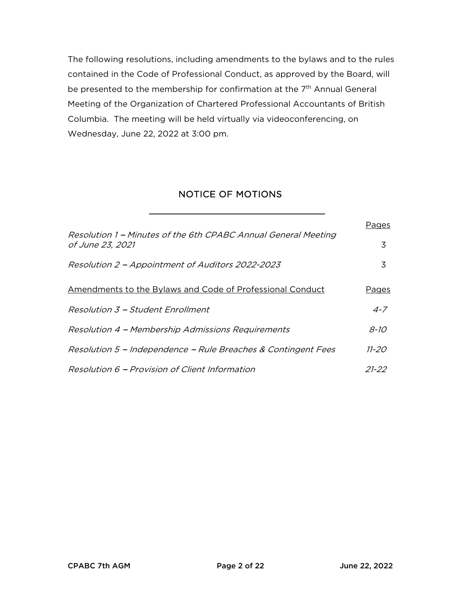The following resolutions, including amendments to the bylaws and to the rules contained in the Code of Professional Conduct, as approved by the Board, will be presented to the membership for confirmation at the 7<sup>th</sup> Annual General Meeting of the Organization of Chartered Professional Accountants of British Columbia. The meeting will be held virtually via videoconferencing, on Wednesday, June 22, 2022 at 3:00 pm.

# NOTICE OF MOTIONS

|                                                                                    | Pages       |
|------------------------------------------------------------------------------------|-------------|
| Resolution 1 – Minutes of the 6th CPABC Annual General Meeting<br>of June 23, 2021 | 3           |
| Resolution 2 – Appointment of Auditors 2022-2023                                   | 3           |
| Amendments to the Bylaws and Code of Professional Conduct                          | Pages       |
| Resolution 3 - Student Enrollment                                                  | $4 - 7$     |
| Resolution 4 - Membership Admissions Requirements                                  | <i>8-10</i> |
| Resolution 5 - Independence - Rule Breaches & Contingent Fees                      | 11-20       |
| Resolution 6 - Provision of Client Information                                     | 21-22       |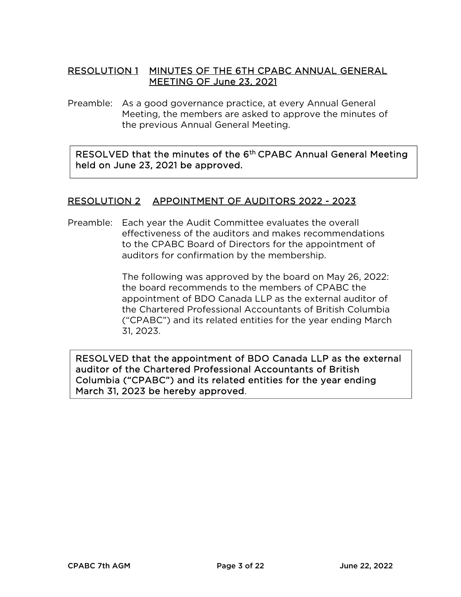# RESOLUTION 1 MINUTES OF THE 6TH CPABC ANNUAL GENERAL MEETING OF June 23, 2021

Preamble: As a good governance practice, at every Annual General Meeting, the members are asked to approve the minutes of the previous Annual General Meeting.

RESOLVED that the minutes of the 6<sup>th</sup> CPABC Annual General Meeting held on June 23, 2021 be approved.

# RESOLUTION 2 APPOINTMENT OF AUDITORS 2022 - 2023

Preamble: Each year the Audit Committee evaluates the overall effectiveness of the auditors and makes recommendations to the CPABC Board of Directors for the appointment of auditors for confirmation by the membership.

> The following was approved by the board on May 26, 2022: the board recommends to the members of CPABC the appointment of BDO Canada LLP as the external auditor of the Chartered Professional Accountants of British Columbia (''CPABC'') and its related entities for the year ending March 31, 2023.

RESOLVED that the appointment of BDO Canada LLP as the external auditor of the Chartered Professional Accountants of British Columbia (''CPABC'') and its related entities for the year ending March 31, 2023 be hereby approved.

 $\overline{1}$  $\overline{\phantom{a}}$  $\overline{\phantom{a}}$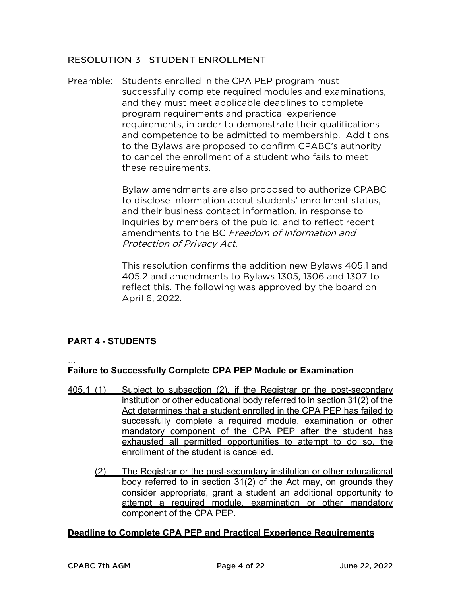# RESOLUTION 3 STUDENT ENROLLMENT

Preamble: Students enrolled in the CPA PEP program must successfully complete required modules and examinations, and they must meet applicable deadlines to complete program requirements and practical experience requirements, in order to demonstrate their qualifications and competence to be admitted to membership. Additions to the Bylaws are proposed to confirm CPABC's authority to cancel the enrollment of a student who fails to meet these requirements.

> Bylaw amendments are also proposed to authorize CPABC to disclose information about students' enrollment status, and their business contact information, in response to inquiries by members of the public, and to reflect recent amendments to the BC Freedom of Information and Protection of Privacy Act.

> This resolution confirms the addition new Bylaws 405.1 and 405.2 and amendments to Bylaws 1305, 1306 and 1307 to reflect this. The following was approved by the board on April 6, 2022.

# **PART 4 - STUDENTS**

…

# **Failure to Successfully Complete CPA PEP Module or Examination**

- 405.1 (1) Subject to subsection (2), if the Registrar or the post-secondary institution or other educational body referred to in section 31(2) of the Act determines that a student enrolled in the CPA PEP has failed to successfully complete a required module, examination or other mandatory component of the CPA PEP after the student has exhausted all permitted opportunities to attempt to do so, the enrollment of the student is cancelled.
	- (2) The Registrar or the post-secondary institution or other educational body referred to in section 31(2) of the Act may, on grounds they consider appropriate, grant a student an additional opportunity to attempt a required module, examination or other mandatory component of the CPA PEP.

## **Deadline to Complete CPA PEP and Practical Experience Requirements**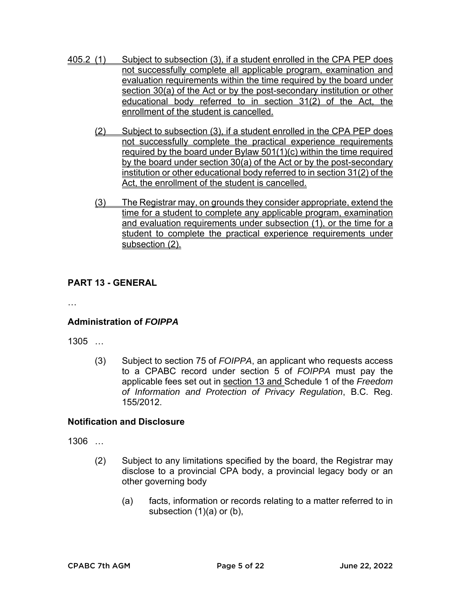- 405.2 (1) Subject to subsection (3), if a student enrolled in the CPA PEP does not successfully complete all applicable program, examination and evaluation requirements within the time required by the board under section 30(a) of the Act or by the post-secondary institution or other educational body referred to in section 31(2) of the Act, the enrollment of the student is cancelled.
	- (2) Subject to subsection (3), if a student enrolled in the CPA PEP does not successfully complete the practical experience requirements required by the board under Bylaw 501(1)(c) within the time required by the board under section 30(a) of the Act or by the post-secondary institution or other educational body referred to in section 31(2) of the Act, the enrollment of the student is cancelled.
	- (3) The Registrar may, on grounds they consider appropriate, extend the time for a student to complete any applicable program, examination and evaluation requirements under subsection (1), or the time for a student to complete the practical experience requirements under subsection (2).

# **PART 13 - GENERAL**

…

# **Administration of** *FOIPPA*

1305 …

(3) Subject to section 75 of *FOIPPA*, an applicant who requests access to a CPABC record under section 5 of *FOIPPA* must pay the applicable fees set out in section 13 and Schedule 1 of the *Freedom of Information and Protection of Privacy Regulation*, B.C. Reg. 155/2012.

## **Notification and Disclosure**

1306 …

- (2) Subject to any limitations specified by the board, the Registrar may disclose to a provincial CPA body, a provincial legacy body or an other governing body
	- (a) facts, information or records relating to a matter referred to in subsection (1)(a) or (b),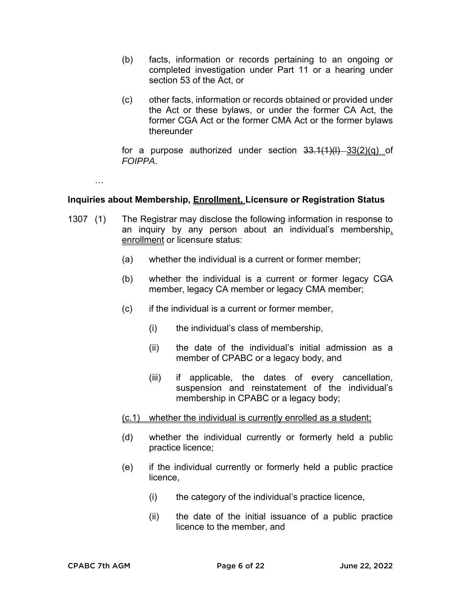- (b) facts, information or records pertaining to an ongoing or completed investigation under Part 11 or a hearing under section 53 of the Act, or
- (c) other facts, information or records obtained or provided under the Act or these bylaws, or under the former CA Act, the former CGA Act or the former CMA Act or the former bylaws thereunder

for a purpose authorized under section  $33.1(1)(1) - 33(2)(q)$  of *FOIPPA*.

…

## **Inquiries about Membership, Enrollment, Licensure or Registration Status**

- 1307 (1) The Registrar may disclose the following information in response to an inquiry by any person about an individual's membership, enrollment or licensure status:
	- (a) whether the individual is a current or former member;
	- (b) whether the individual is a current or former legacy CGA member, legacy CA member or legacy CMA member;
	- (c) if the individual is a current or former member,
		- (i) the individual's class of membership,
		- (ii) the date of the individual's initial admission as a member of CPABC or a legacy body, and
		- (iii) if applicable, the dates of every cancellation, suspension and reinstatement of the individual's membership in CPABC or a legacy body;

## (c.1) whether the individual is currently enrolled as a student;

- (d) whether the individual currently or formerly held a public practice licence;
- (e) if the individual currently or formerly held a public practice licence,
	- (i) the category of the individual's practice licence,
	- (ii) the date of the initial issuance of a public practice licence to the member, and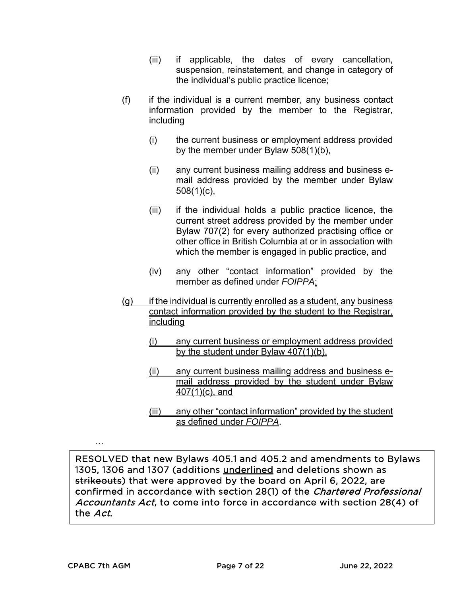- (iii) if applicable, the dates of every cancellation, suspension, reinstatement, and change in category of the individual's public practice licence;
- $(f)$  if the individual is a current member, any business contact information provided by the member to the Registrar, including
	- (i) the current business or employment address provided by the member under Bylaw 508(1)(b),
	- (ii) any current business mailing address and business email address provided by the member under Bylaw  $508(1)(c)$ ,
	- (iii) if the individual holds a public practice licence, the current street address provided by the member under Bylaw 707(2) for every authorized practising office or other office in British Columbia at or in association with which the member is engaged in public practice, and
	- (iv) any other "contact information" provided by the member as defined under *FOIPPA*;
- $(q)$  if the individual is currently enrolled as a student, any business contact information provided by the student to the Registrar, including
	- (i) any current business or employment address provided by the student under Bylaw 407(1)(b),
	- (ii) any current business mailing address and business email address provided by the student under Bylaw 407(1)(c), and
	- (iii) any other "contact information" provided by the student as defined under *FOIPPA*.

RESOLVED that new Bylaws 405.1 and 405.2 and amendments to Bylaws 1305, 1306 and 1307 (additions underlined and deletions shown as strikeouts) that were approved by the board on April 6, 2022, are confirmed in accordance with section 28(1) of the Chartered Professional Accountants Act, to come into force in accordance with section 28(4) of the Act.

…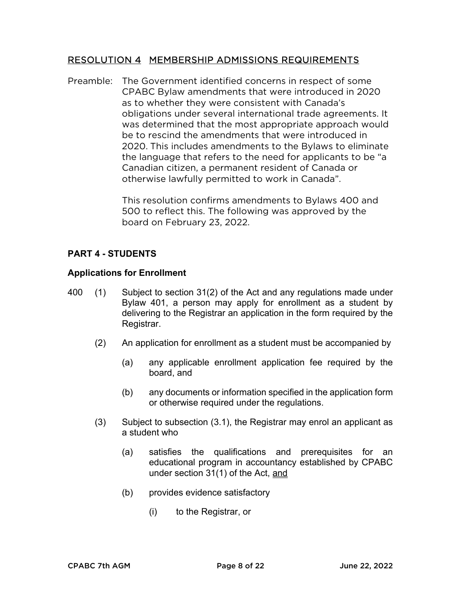## RESOLUTION 4 MEMBERSHIP ADMISSIONS REQUIREMENTS

Preamble: The Government identified concerns in respect of some CPABC Bylaw amendments that were introduced in 2020 as to whether they were consistent with Canada's obligations under several international trade agreements. It was determined that the most appropriate approach would be to rescind the amendments that were introduced in 2020. This includes amendments to the Bylaws to eliminate the language that refers to the need for applicants to be ''a Canadian citizen, a permanent resident of Canada or otherwise lawfully permitted to work in Canada''.

> This resolution confirms amendments to Bylaws 400 and 500 to reflect this. The following was approved by the board on February 23, 2022.

# **PART 4 - STUDENTS**

## **Applications for Enrollment**

- 400 (1) Subject to section 31(2) of the Act and any regulations made under Bylaw 401, a person may apply for enrollment as a student by delivering to the Registrar an application in the form required by the Registrar.
	- (2) An application for enrollment as a student must be accompanied by
		- (a) any applicable enrollment application fee required by the board, and
		- (b) any documents or information specified in the application form or otherwise required under the regulations.
	- (3) Subject to subsection (3.1), the Registrar may enrol an applicant as a student who
		- (a) satisfies the qualifications and prerequisites for an educational program in accountancy established by CPABC under section 31(1) of the Act, and
		- (b) provides evidence satisfactory
			- (i) to the Registrar, or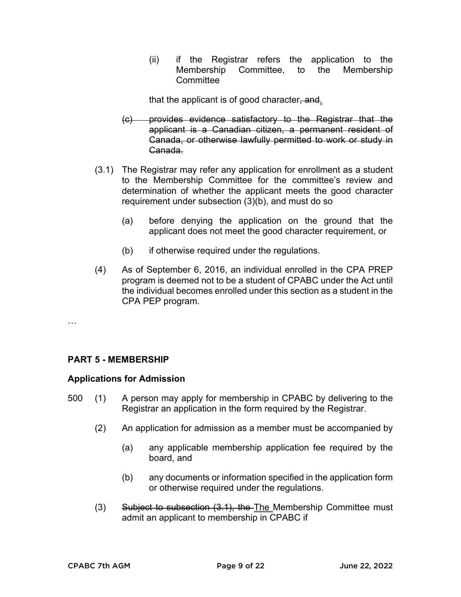(ii) if the Registrar refers the application to the Membership Committee, to the Membership **Committee** 

that the applicant is of good character, and.

- (c) provides evidence satisfactory to the Registrar that the applicant is a Canadian citizen, a permanent resident of Canada, or otherwise lawfully permitted to work or study in Canada.
- (3.1) The Registrar may refer any application for enrollment as a student to the Membership Committee for the committee's review and determination of whether the applicant meets the good character requirement under subsection (3)(b), and must do so
	- (a) before denying the application on the ground that the applicant does not meet the good character requirement, or
	- (b) if otherwise required under the regulations.
- (4) As of September 6, 2016, an individual enrolled in the CPA PREP program is deemed not to be a student of CPABC under the Act until the individual becomes enrolled under this section as a student in the CPA PEP program.

#### …

## **PART 5 - MEMBERSHIP**

## **Applications for Admission**

- 500 (1) A person may apply for membership in CPABC by delivering to the Registrar an application in the form required by the Registrar.
	- (2) An application for admission as a member must be accompanied by
		- (a) any applicable membership application fee required by the board, and
		- (b) any documents or information specified in the application form or otherwise required under the regulations.
	- (3) Subject to subsection (3.1), the The Membership Committee must admit an applicant to membership in CPABC if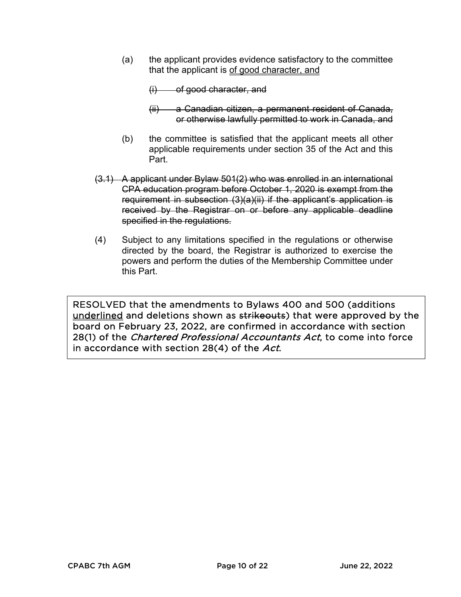(a) the applicant provides evidence satisfactory to the committee that the applicant is of good character, and

 $(i)$  of good character, and

- (ii) a Canadian citizen, a permanent resident of Canada, or otherwise lawfully permitted to work in Canada, and
- (b) the committee is satisfied that the applicant meets all other applicable requirements under section 35 of the Act and this Part.
- (3.1) A applicant under Bylaw 501(2) who was enrolled in an international CPA education program before October 1, 2020 is exempt from the requirement in subsection (3)(a)(ii) if the applicant's application is received by the Registrar on or before any applicable deadline specified in the regulations.
- (4) Subject to any limitations specified in the regulations or otherwise directed by the board, the Registrar is authorized to exercise the powers and perform the duties of the Membership Committee under this Part.

RESOLVED that the amendments to Bylaws 400 and 500 (additions underlined and deletions shown as strikeouts) that were approved by the board on February 23, 2022, are confirmed in accordance with section 28(1) of the Chartered Professional Accountants Act, to come into force in accordance with section 28(4) of the Act.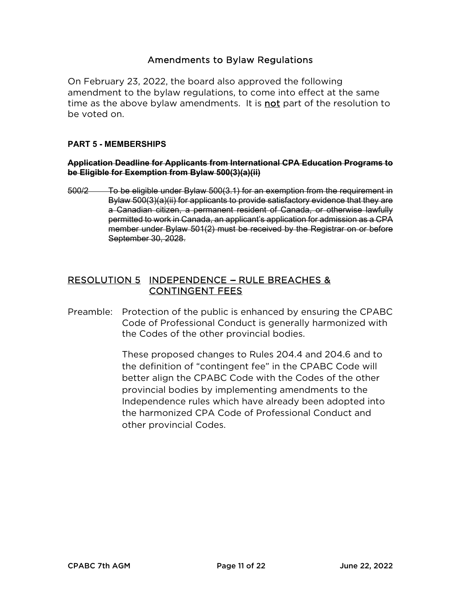# Amendments to Bylaw Regulations

On February 23, 2022, the board also approved the following amendment to the bylaw regulations, to come into effect at the same time as the above bylaw amendments. It is not part of the resolution to be voted on.

## **PART 5 - MEMBERSHIPS**

#### **Application Deadline for Applicants from International CPA Education Programs to be Eligible for Exemption from Bylaw 500(3)(a)(ii)**

500/2 To be eligible under Bylaw 500(3.1) for an exemption from the requirement in Bylaw 500(3)(a)(ii) for applicants to provide satisfactory evidence that they are a Canadian citizen, a permanent resident of Canada, or otherwise lawfully permitted to work in Canada, an applicant's application for admission as a CPA member under Bylaw 501(2) must be received by the Registrar on or before September 30, 2028.

# RESOLUTION 5 INDEPENDENCE - RULE BREACHES & CONTINGENT FEES

Preamble: Protection of the public is enhanced by ensuring the CPABC Code of Professional Conduct is generally harmonized with the Codes of the other provincial bodies.

> These proposed changes to Rules 204.4 and 204.6 and to the definition of ''contingent fee'' in the CPABC Code will better align the CPABC Code with the Codes of the other provincial bodies by implementing amendments to the Independence rules which have already been adopted into the harmonized CPA Code of Professional Conduct and other provincial Codes.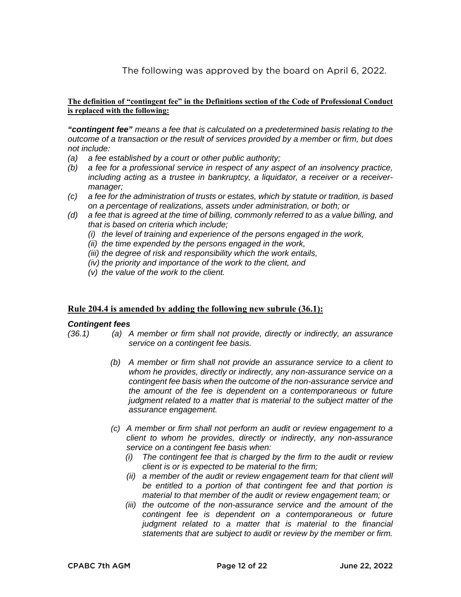The following was approved by the board on April 6, 2022.

#### **The definition of "contingent fee" in the Definitions section of the Code of Professional Conduct is replaced with the following:**

*"contingent fee" means a fee that is calculated on a predetermined basis relating to the outcome of a transaction or the result of services provided by a member or firm, but does not include:* 

- *(a) a fee established by a court or other public authority;*
- *(b) a fee for a professional service in respect of any aspect of an insolvency practice, including acting as a trustee in bankruptcy, a liquidator, a receiver or a receivermanager;*
- *(c) a fee for the administration of trusts or estates, which by statute or tradition, is based on a percentage of realizations, assets under administration, or both; or*
- *(d) a fee that is agreed at the time of billing, commonly referred to as a value billing, and that is based on criteria which include;* 
	- *(i) the level of training and experience of the persons engaged in the work,*
	- *(ii) the time expended by the persons engaged in the work,*
	- *(iii) the degree of risk and responsibility which the work entails,*
	- *(iv) the priority and importance of the work to the client, and*
	- *(v) the value of the work to the client.*

#### **Rule 204.4 is amended by adding the following new subrule (36.1):**

#### *Contingent fees*

- *(36.1) (a) A member or firm shall not provide, directly or indirectly, an assurance service on a contingent fee basis.* 
	- *(b) A member or firm shall not provide an assurance service to a client to whom he provides, directly or indirectly, any non-assurance service on a contingent fee basis when the outcome of the non-assurance service and the amount of the fee is dependent on a contemporaneous or future judgment related to a matter that is material to the subject matter of the assurance engagement.*
	- *(c) A member or firm shall not perform an audit or review engagement to a client to whom he provides, directly or indirectly, any non-assurance service on a contingent fee basis when:* 
		- *(i) The contingent fee that is charged by the firm to the audit or review client is or is expected to be material to the firm;*
		- *(ii) a member of the audit or review engagement team for that client will be entitled to a portion of that contingent fee and that portion is material to that member of the audit or review engagement team; or*
		- *(iii) the outcome of the non-assurance service and the amount of the contingent fee is dependent on a contemporaneous or future judgment related to a matter that is material to the financial statements that are subject to audit or review by the member or firm.*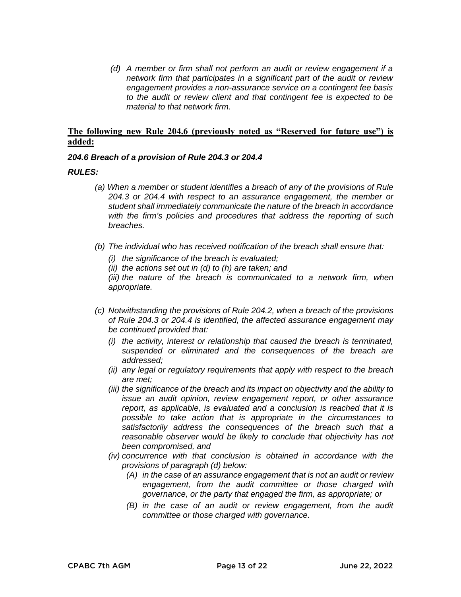*(d) A member or firm shall not perform an audit or review engagement if a network firm that participates in a significant part of the audit or review engagement provides a non-assurance service on a contingent fee basis to the audit or review client and that contingent fee is expected to be material to that network firm.*

## **The following new Rule 204.6 (previously noted as "Reserved for future use") is added:**

#### *204.6 Breach of a provision of Rule 204.3 or 204.4*

#### *RULES:*

- *(a) When a member or student identifies a breach of any of the provisions of Rule 204.3 or 204.4 with respect to an assurance engagement, the member or student shall immediately communicate the nature of the breach in accordance with the firm's policies and procedures that address the reporting of such breaches.*
- *(b) The individual who has received notification of the breach shall ensure that:* 
	- *(i) the significance of the breach is evaluated;*
	- *(ii) the actions set out in (d) to (h) are taken; and*

*(iii) the nature of the breach is communicated to a network firm, when appropriate.* 

- *(c) Notwithstanding the provisions of Rule 204.2, when a breach of the provisions of Rule 204.3 or 204.4 is identified, the affected assurance engagement may be continued provided that:* 
	- *(i) the activity, interest or relationship that caused the breach is terminated, suspended or eliminated and the consequences of the breach are addressed;*
	- *(ii) any legal or regulatory requirements that apply with respect to the breach are met;*
	- *(iii) the significance of the breach and its impact on objectivity and the ability to issue an audit opinion, review engagement report, or other assurance report, as applicable, is evaluated and a conclusion is reached that it is possible to take action that is appropriate in the circumstances to satisfactorily address the consequences of the breach such that a reasonable observer would be likely to conclude that objectivity has not been compromised, and*
	- *(iv) concurrence with that conclusion is obtained in accordance with the provisions of paragraph (d) below:* 
		- *(A) in the case of an assurance engagement that is not an audit or review engagement, from the audit committee or those charged with governance, or the party that engaged the firm, as appropriate; or*
		- *(B) in the case of an audit or review engagement, from the audit committee or those charged with governance.*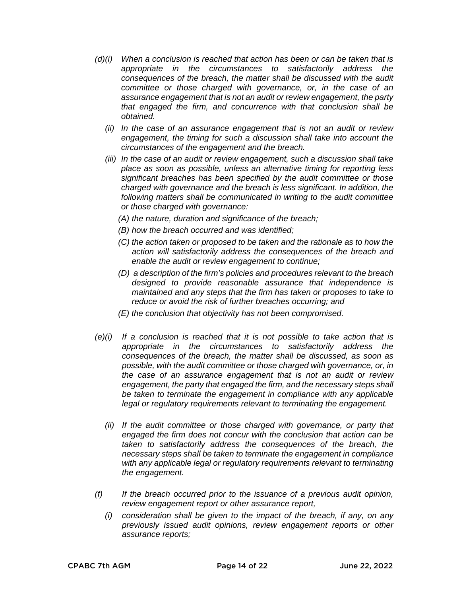- *(d) (i) When a conclusion is reached that action has been or can be taken that is appropriate in the circumstances to satisfactorily address the consequences of the breach, the matter shall be discussed with the audit committee or those charged with governance, or, in the case of an assurance engagement that is not an audit or review engagement, the party that engaged the firm, and concurrence with that conclusion shall be obtained.* 
	- *(ii) In the case of an assurance engagement that is not an audit or review engagement, the timing for such a discussion shall take into account the circumstances of the engagement and the breach.*
	- *(iii) In the case of an audit or review engagement, such a discussion shall take place as soon as possible, unless an alternative timing for reporting less significant breaches has been specified by the audit committee or those charged with governance and the breach is less significant. In addition, the following matters shall be communicated in writing to the audit committee or those charged with governance:* 
		- *(A) the nature, duration and significance of the breach;*
		- *(B) how the breach occurred and was identified;*
		- *(C) the action taken or proposed to be taken and the rationale as to how the action will satisfactorily address the consequences of the breach and enable the audit or review engagement to continue;*
		- *(D) a description of the firm's policies and procedures relevant to the breach designed to provide reasonable assurance that independence is maintained and any steps that the firm has taken or proposes to take to reduce or avoid the risk of further breaches occurring; and*
		- *(E) the conclusion that objectivity has not been compromised.*
- *(e)(i) If a conclusion is reached that it is not possible to take action that is appropriate in the circumstances to satisfactorily address the consequences of the breach, the matter shall be discussed, as soon as possible, with the audit committee or those charged with governance, or, in the case of an assurance engagement that is not an audit or review engagement, the party that engaged the firm, and the necessary steps shall be taken to terminate the engagement in compliance with any applicable legal or regulatory requirements relevant to terminating the engagement.* 
	- *(ii) If the audit committee or those charged with governance, or party that engaged the firm does not concur with the conclusion that action can be taken to satisfactorily address the consequences of the breach, the necessary steps shall be taken to terminate the engagement in compliance with any applicable legal or regulatory requirements relevant to terminating the engagement.*
- *(f) If the breach occurred prior to the issuance of a previous audit opinion, review engagement report or other assurance report,* 
	- *(i) consideration shall be given to the impact of the breach, if any, on any previously issued audit opinions, review engagement reports or other assurance reports;*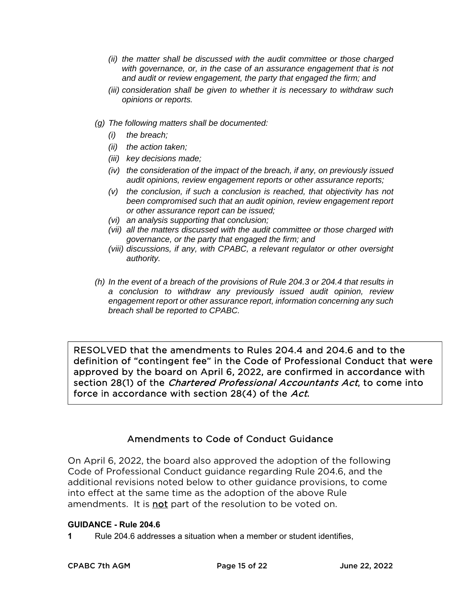- *(ii) the matter shall be discussed with the audit committee or those charged with governance, or, in the case of an assurance engagement that is not and audit or review engagement, the party that engaged the firm; and*
- *(iii) consideration shall be given to whether it is necessary to withdraw such opinions or reports.*
- *(g) The following matters shall be documented:* 
	- *(i) the breach;*
	- *(ii) the action taken;*
	- *(iii) key decisions made;*
	- *(iv) the consideration of the impact of the breach, if any, on previously issued audit opinions, review engagement reports or other assurance reports;*
	- *(v) the conclusion, if such a conclusion is reached, that objectivity has not been compromised such that an audit opinion, review engagement report or other assurance report can be issued;*
	- *(vi) an analysis supporting that conclusion;*
	- *(vii) all the matters discussed with the audit committee or those charged with governance, or the party that engaged the firm; and*
	- *(viii) discussions, if any, with CPABC, a relevant regulator or other oversight authority.*
- *(h) In the event of a breach of the provisions of Rule 204.3 or 204.4 that results in a conclusion to withdraw any previously issued audit opinion, review engagement report or other assurance report, information concerning any such breach shall be reported to CPABC.*

RESOLVED that the amendments to Rules 204.4 and 204.6 and to the definition of ''contingent fee'' in the Code of Professional Conduct that were approved by the board on April 6, 2022, are confirmed in accordance with section 28(1) of the *Chartered Professional Accountants Act*, to come into force in accordance with section 28(4) of the Act.

# Amendments to Code of Conduct Guidance

On April 6, 2022, the board also approved the adoption of the following Code of Professional Conduct guidance regarding Rule 204.6, and the additional revisions noted below to other guidance provisions, to come into effect at the same time as the adoption of the above Rule amendments. It is **not** part of the resolution to be voted on.

## **GUIDANCE - Rule 204.6**

**1** Rule 204.6 addresses a situation when a member or student identifies,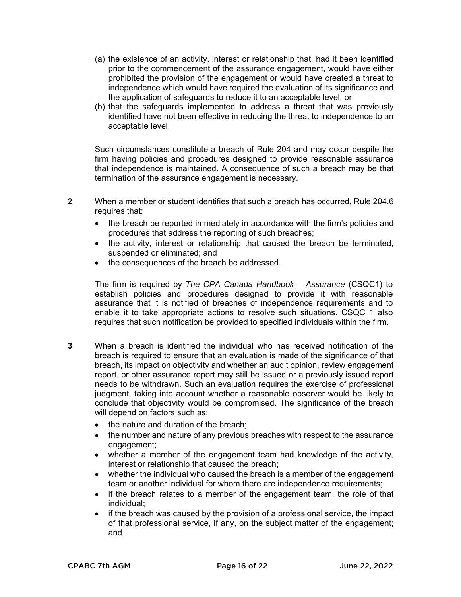- (a) the existence of an activity, interest or relationship that, had it been identified prior to the commencement of the assurance engagement, would have either prohibited the provision of the engagement or would have created a threat to independence which would have required the evaluation of its significance and the application of safeguards to reduce it to an acceptable level, or
- (b) that the safeguards implemented to address a threat that was previously identified have not been effective in reducing the threat to independence to an acceptable level.

Such circumstances constitute a breach of Rule 204 and may occur despite the firm having policies and procedures designed to provide reasonable assurance that independence is maintained. A consequence of such a breach may be that termination of the assurance engagement is necessary.

- **2** When a member or student identifies that such a breach has occurred, Rule 204.6 requires that:
	- the breach be reported immediately in accordance with the firm's policies and procedures that address the reporting of such breaches;
	- the activity, interest or relationship that caused the breach be terminated, suspended or eliminated; and
	- the consequences of the breach be addressed.

The firm is required by *The CPA Canada Handbook – Assurance* (CSQC1) to establish policies and procedures designed to provide it with reasonable assurance that it is notified of breaches of independence requirements and to enable it to take appropriate actions to resolve such situations. CSQC 1 also requires that such notification be provided to specified individuals within the firm.

- **3** When a breach is identified the individual who has received notification of the breach is required to ensure that an evaluation is made of the significance of that breach, its impact on objectivity and whether an audit opinion, review engagement report, or other assurance report may still be issued or a previously issued report needs to be withdrawn. Such an evaluation requires the exercise of professional judgment, taking into account whether a reasonable observer would be likely to conclude that objectivity would be compromised. The significance of the breach will depend on factors such as:
	- $\bullet$  the nature and duration of the breach;
	- the number and nature of any previous breaches with respect to the assurance engagement;
	- whether a member of the engagement team had knowledge of the activity, interest or relationship that caused the breach;
	- whether the individual who caused the breach is a member of the engagement team or another individual for whom there are independence requirements;
	- if the breach relates to a member of the engagement team, the role of that individual;
	- if the breach was caused by the provision of a professional service, the impact of that professional service, if any, on the subject matter of the engagement; and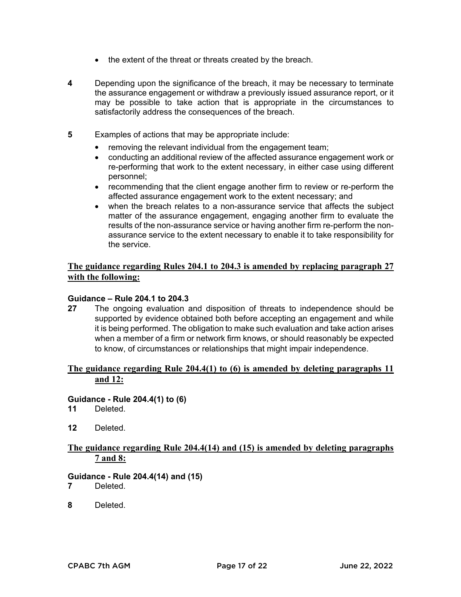- the extent of the threat or threats created by the breach.
- **4** Depending upon the significance of the breach, it may be necessary to terminate the assurance engagement or withdraw a previously issued assurance report, or it may be possible to take action that is appropriate in the circumstances to satisfactorily address the consequences of the breach.
- **5** Examples of actions that may be appropriate include:
	- removing the relevant individual from the engagement team;
	- conducting an additional review of the affected assurance engagement work or re-performing that work to the extent necessary, in either case using different personnel;
	- recommending that the client engage another firm to review or re-perform the affected assurance engagement work to the extent necessary; and
	- when the breach relates to a non-assurance service that affects the subject matter of the assurance engagement, engaging another firm to evaluate the results of the non-assurance service or having another firm re-perform the nonassurance service to the extent necessary to enable it to take responsibility for the service.

## **The guidance regarding Rules 204.1 to 204.3 is amended by replacing paragraph 27 with the following:**

#### **Guidance – Rule 204.1 to 204.3**

**27** The ongoing evaluation and disposition of threats to independence should be supported by evidence obtained both before accepting an engagement and while it is being performed. The obligation to make such evaluation and take action arises when a member of a firm or network firm knows, or should reasonably be expected to know, of circumstances or relationships that might impair independence.

## **The guidance regarding Rule 204.4(1) to (6) is amended by deleting paragraphs 11 and 12:**

#### **Guidance - Rule 204.4(1) to (6)**

- **11** Deleted.
- **12** Deleted.

## **The guidance regarding Rule 204.4(14) and (15) is amended by deleting paragraphs 7 and 8:**

#### **Guidance - Rule 204.4(14) and (15)**

- **7** Deleted.
- **8** Deleted.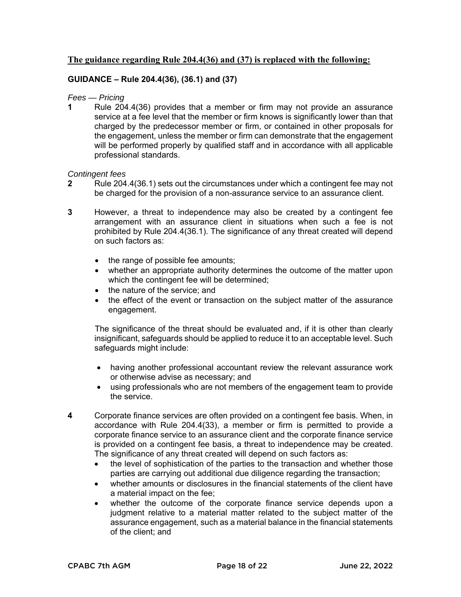## **The guidance regarding Rule 204.4(36) and (37) is replaced with the following:**

## **GUIDANCE – Rule 204.4(36), (36.1) and (37)**

#### *Fees — Pricing*

**1** Rule 204.4(36) provides that a member or firm may not provide an assurance service at a fee level that the member or firm knows is significantly lower than that charged by the predecessor member or firm, or contained in other proposals for the engagement, unless the member or firm can demonstrate that the engagement will be performed properly by qualified staff and in accordance with all applicable professional standards.

#### *Contingent fees*

- **2** Rule 204.4(36.1) sets out the circumstances under which a contingent fee may not be charged for the provision of a non-assurance service to an assurance client.
- **3** However, a threat to independence may also be created by a contingent fee arrangement with an assurance client in situations when such a fee is not prohibited by Rule 204.4(36.1). The significance of any threat created will depend on such factors as:
	- the range of possible fee amounts;
	- whether an appropriate authority determines the outcome of the matter upon which the contingent fee will be determined;
	- the nature of the service; and
	- the effect of the event or transaction on the subject matter of the assurance engagement.

The significance of the threat should be evaluated and, if it is other than clearly insignificant, safeguards should be applied to reduce it to an acceptable level. Such safeguards might include:

- having another professional accountant review the relevant assurance work or otherwise advise as necessary; and
- using professionals who are not members of the engagement team to provide the service.
- **4** Corporate finance services are often provided on a contingent fee basis. When, in accordance with Rule 204.4(33), a member or firm is permitted to provide a corporate finance service to an assurance client and the corporate finance service is provided on a contingent fee basis, a threat to independence may be created. The significance of any threat created will depend on such factors as:
	- the level of sophistication of the parties to the transaction and whether those parties are carrying out additional due diligence regarding the transaction;
	- whether amounts or disclosures in the financial statements of the client have a material impact on the fee;
	- whether the outcome of the corporate finance service depends upon a judgment relative to a material matter related to the subject matter of the assurance engagement, such as a material balance in the financial statements of the client; and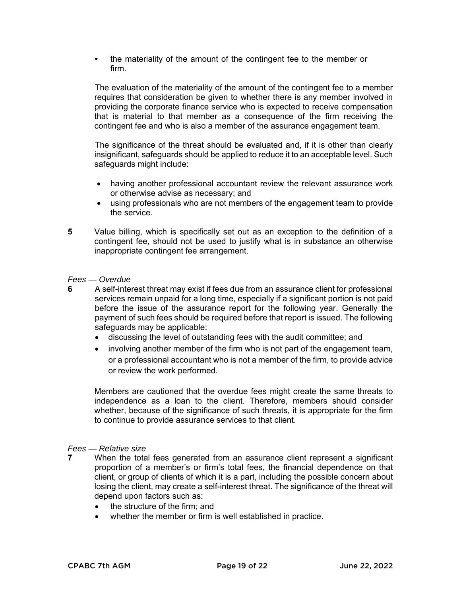• the materiality of the amount of the contingent fee to the member or firm.

The evaluation of the materiality of the amount of the contingent fee to a member requires that consideration be given to whether there is any member involved in providing the corporate finance service who is expected to receive compensation that is material to that member as a consequence of the firm receiving the contingent fee and who is also a member of the assurance engagement team.

The significance of the threat should be evaluated and, if it is other than clearly insignificant, safeguards should be applied to reduce it to an acceptable level. Such safeguards might include:

- having another professional accountant review the relevant assurance work or otherwise advise as necessary; and
- using professionals who are not members of the engagement team to provide the service.
- **5** Value billing, which is specifically set out as an exception to the definition of a contingent fee, should not be used to justify what is in substance an otherwise inappropriate contingent fee arrangement.

#### *Fees — Overdue*

- **6** A self-interest threat may exist if fees due from an assurance client for professional services remain unpaid for a long time, especially if a significant portion is not paid before the issue of the assurance report for the following year. Generally the payment of such fees should be required before that report is issued. The following safeguards may be applicable:
	- discussing the level of outstanding fees with the audit committee; and
	- involving another member of the firm who is not part of the engagement team, or a professional accountant who is not a member of the firm, to provide advice or review the work performed.

Members are cautioned that the overdue fees might create the same threats to independence as a loan to the client. Therefore, members should consider whether, because of the significance of such threats, it is appropriate for the firm to continue to provide assurance services to that client.

#### *Fees — Relative size*

- **7** When the total fees generated from an assurance client represent a significant proportion of a member's or firm's total fees, the financial dependence on that client, or group of clients of which it is a part, including the possible concern about losing the client, may create a self-interest threat. The significance of the threat will depend upon factors such as:
	- the structure of the firm; and
	- whether the member or firm is well established in practice.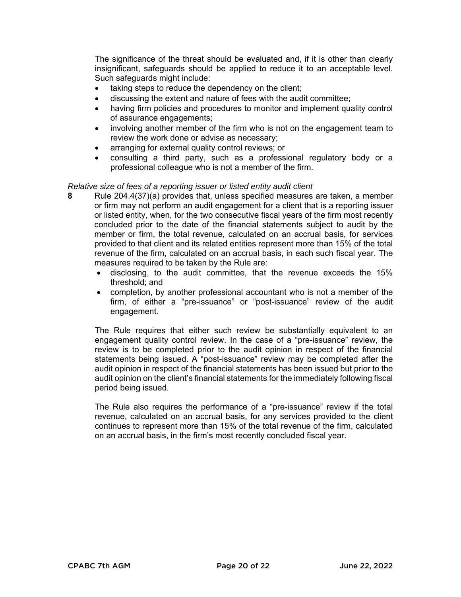The significance of the threat should be evaluated and, if it is other than clearly insignificant, safeguards should be applied to reduce it to an acceptable level. Such safeguards might include:

- taking steps to reduce the dependency on the client;
- discussing the extent and nature of fees with the audit committee;
- having firm policies and procedures to monitor and implement quality control of assurance engagements;
- involving another member of the firm who is not on the engagement team to review the work done or advise as necessary;
- arranging for external quality control reviews; or
- consulting a third party, such as a professional regulatory body or a professional colleague who is not a member of the firm.

#### *Relative size of fees of a reporting issuer or listed entity audit client*

- **8** Rule 204.4(37)(a) provides that, unless specified measures are taken, a member or firm may not perform an audit engagement for a client that is a reporting issuer or listed entity, when, for the two consecutive fiscal years of the firm most recently concluded prior to the date of the financial statements subject to audit by the member or firm, the total revenue, calculated on an accrual basis, for services provided to that client and its related entities represent more than 15% of the total revenue of the firm, calculated on an accrual basis, in each such fiscal year. The measures required to be taken by the Rule are:
	- disclosing, to the audit committee, that the revenue exceeds the 15% threshold; and
	- completion, by another professional accountant who is not a member of the firm, of either a "pre-issuance" or "post-issuance" review of the audit engagement.

The Rule requires that either such review be substantially equivalent to an engagement quality control review. In the case of a "pre-issuance" review, the review is to be completed prior to the audit opinion in respect of the financial statements being issued. A "post-issuance" review may be completed after the audit opinion in respect of the financial statements has been issued but prior to the audit opinion on the client's financial statements for the immediately following fiscal period being issued.

The Rule also requires the performance of a "pre-issuance" review if the total revenue, calculated on an accrual basis, for any services provided to the client continues to represent more than 15% of the total revenue of the firm, calculated on an accrual basis, in the firm's most recently concluded fiscal year.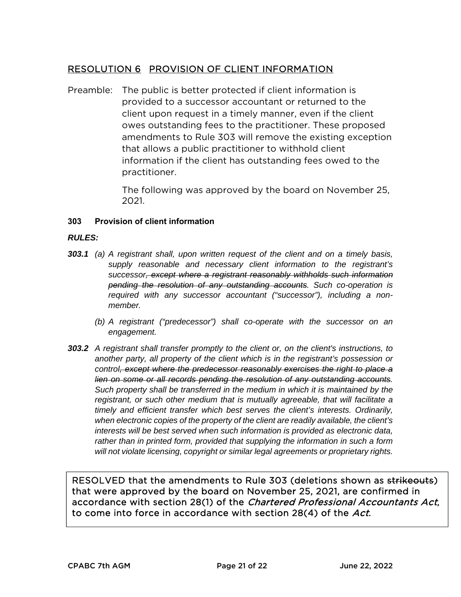# RESOLUTION 6 PROVISION OF CLIENT INFORMATION

Preamble: The public is better protected if client information is provided to a successor accountant or returned to the client upon request in a timely manner, even if the client owes outstanding fees to the practitioner. These proposed amendments to Rule 303 will remove the existing exception that allows a public practitioner to withhold client information if the client has outstanding fees owed to the practitioner.

> The following was approved by the board on November 25, 2021.

## **303 Provision of client information**

## *RULES:*

- *303.1 (a) A registrant shall, upon written request of the client and on a timely basis, supply reasonable and necessary client information to the registrant's successor, except where a registrant reasonably withholds such information pending the resolution of any outstanding accounts. Such co-operation is required with any successor accountant ("successor"), including a nonmember.* 
	- *(b) A registrant ("predecessor") shall co-operate with the successor on an engagement.*
- *303.2 A registrant shall transfer promptly to the client or, on the client's instructions, to another party, all property of the client which is in the registrant's possession or control, except where the predecessor reasonably exercises the right to place a lien on some or all records pending the resolution of any outstanding accounts. Such property shall be transferred in the medium in which it is maintained by the registrant, or such other medium that is mutually agreeable, that will facilitate a timely and efficient transfer which best serves the client's interests. Ordinarily, when electronic copies of the property of the client are readily available, the client's interests will be best served when such information is provided as electronic data, rather than in printed form, provided that supplying the information in such a form will not violate licensing, copyright or similar legal agreements or proprietary rights.*

RESOLVED that the amendments to Rule 303 (deletions shown as strikeouts) that were approved by the board on November 25, 2021, are confirmed in accordance with section 28(1) of the Chartered Professional Accountants Act, to come into force in accordance with section 28(4) of the Act.

Ï